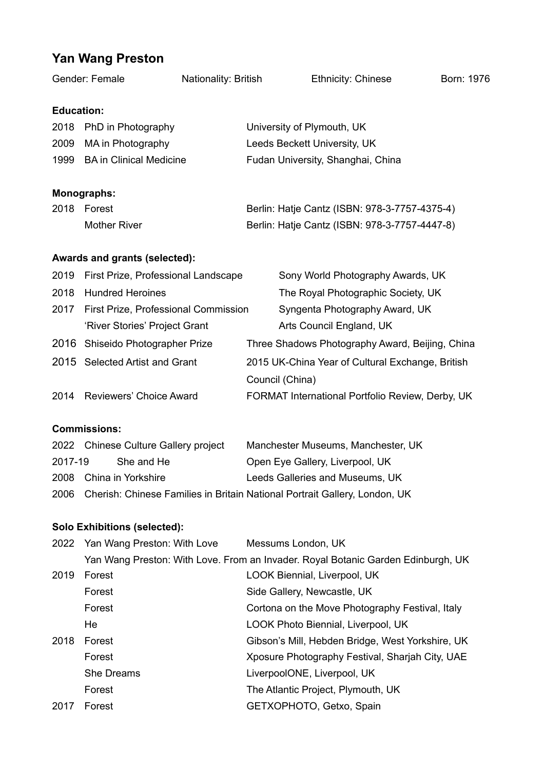## **Yan Wang Preston**

| Gender: Female                       |                                      | Nationality: British |                                               | <b>Ethnicity: Chinese</b>                        | Born: 1976 |  |  |
|--------------------------------------|--------------------------------------|----------------------|-----------------------------------------------|--------------------------------------------------|------------|--|--|
| <b>Education:</b>                    |                                      |                      |                                               |                                                  |            |  |  |
|                                      | 2018 PhD in Photography              |                      |                                               | University of Plymouth, UK                       |            |  |  |
| 2009                                 | MA in Photography                    |                      |                                               | Leeds Beckett University, UK                     |            |  |  |
| 1999                                 | <b>BA</b> in Clinical Medicine       |                      |                                               | Fudan University, Shanghai, China                |            |  |  |
|                                      | <b>Monographs:</b>                   |                      |                                               |                                                  |            |  |  |
|                                      | 2018 Forest                          |                      | Berlin: Hatje Cantz (ISBN: 978-3-7757-4375-4) |                                                  |            |  |  |
|                                      | <b>Mother River</b>                  |                      |                                               | Berlin: Hatje Cantz (ISBN: 978-3-7757-4447-8)    |            |  |  |
| <b>Awards and grants (selected):</b> |                                      |                      |                                               |                                                  |            |  |  |
| 2019                                 | First Prize, Professional Landscape  |                      |                                               | Sony World Photography Awards, UK                |            |  |  |
| 2018                                 | <b>Hundred Heroines</b>              |                      |                                               | The Royal Photographic Society, UK               |            |  |  |
| 2017                                 | First Prize, Professional Commission |                      |                                               | Syngenta Photography Award, UK                   |            |  |  |
|                                      | 'River Stories' Project Grant        |                      |                                               | Arts Council England, UK                         |            |  |  |
| 2016                                 | Shiseido Photographer Prize          |                      |                                               | Three Shadows Photography Award, Beijing, China  |            |  |  |
|                                      | 2015 Selected Artist and Grant       |                      |                                               | 2015 UK-China Year of Cultural Exchange, British |            |  |  |
|                                      |                                      |                      |                                               | Council (China)                                  |            |  |  |
| 2014                                 | Reviewers' Choice Award              |                      |                                               | FORMAT International Portfolio Review, Derby, UK |            |  |  |
| <b>Commissions:</b>                  |                                      |                      |                                               |                                                  |            |  |  |
|                                      | 2022 Chinese Culture Gallery project |                      |                                               | Manchester Museums, Manchester, UK               |            |  |  |

- 2017-19 She and He Open Eye Gallery, Liverpool, UK 2008 China in Yorkshire Leeds Galleries and Museums, UK
- 2006 Cherish: Chinese Families in Britain National Portrait Gallery, London, UK

## **Solo Exhibitions (selected):**

|      | 2022 Yan Wang Preston: With Love                                                 | Messums London, UK                               |  |  |  |
|------|----------------------------------------------------------------------------------|--------------------------------------------------|--|--|--|
|      | Yan Wang Preston: With Love. From an Invader. Royal Botanic Garden Edinburgh, UK |                                                  |  |  |  |
| 2019 | Forest                                                                           | LOOK Biennial, Liverpool, UK                     |  |  |  |
|      | Forest                                                                           | Side Gallery, Newcastle, UK                      |  |  |  |
|      | Forest                                                                           | Cortona on the Move Photography Festival, Italy  |  |  |  |
|      | He                                                                               | LOOK Photo Biennial, Liverpool, UK               |  |  |  |
| 2018 | Forest                                                                           | Gibson's Mill, Hebden Bridge, West Yorkshire, UK |  |  |  |
|      | Forest                                                                           | Xposure Photography Festival, Sharjah City, UAE  |  |  |  |
|      | <b>She Dreams</b>                                                                | LiverpoolONE, Liverpool, UK                      |  |  |  |
|      | Forest                                                                           | The Atlantic Project, Plymouth, UK               |  |  |  |
| 2017 | Forest                                                                           | GETXOPHOTO, Getxo, Spain                         |  |  |  |
|      |                                                                                  |                                                  |  |  |  |